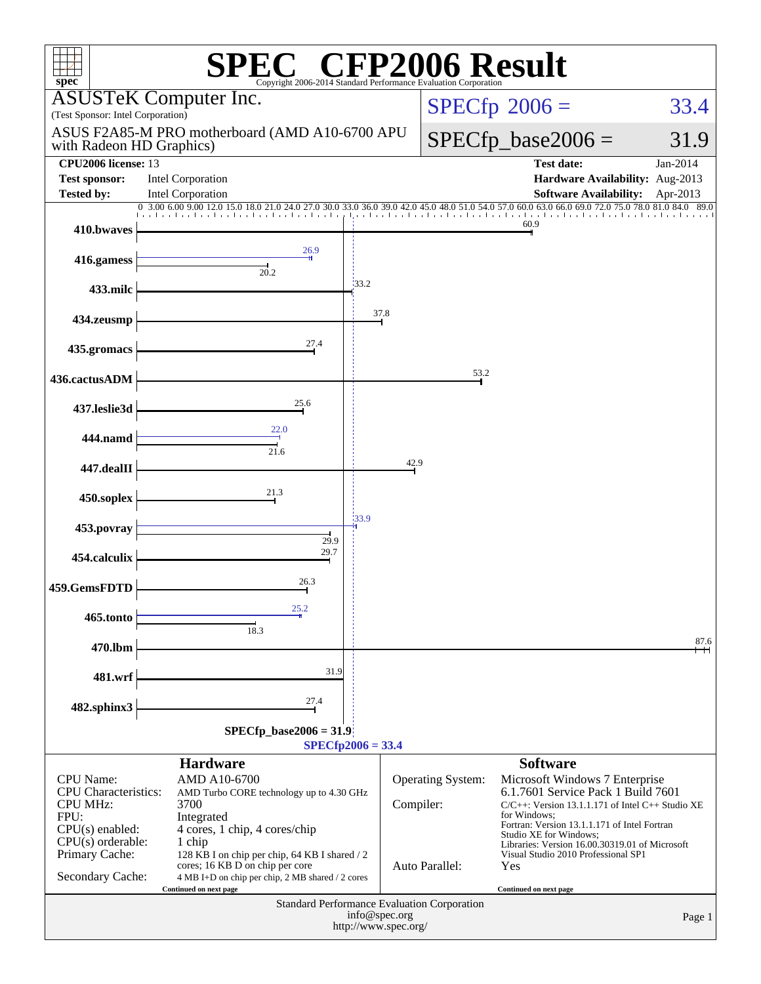| $\mathbb{C}^{\circledast}$ CFP2006 Result<br>spec <sup>®</sup><br>Copyright 2006-2014 Standard Performance E                      |                                                                                                                                                                                               |                     |                                       |                                                                                                                                                                                                                                                                                                                                     |                  |  |  |
|-----------------------------------------------------------------------------------------------------------------------------------|-----------------------------------------------------------------------------------------------------------------------------------------------------------------------------------------------|---------------------|---------------------------------------|-------------------------------------------------------------------------------------------------------------------------------------------------------------------------------------------------------------------------------------------------------------------------------------------------------------------------------------|------------------|--|--|
| (Test Sponsor: Intel Corporation)                                                                                                 | <b>ASUSTeK Computer Inc.</b>                                                                                                                                                                  |                     |                                       | $SPECfp^{\circ}2006 =$<br>33.4                                                                                                                                                                                                                                                                                                      |                  |  |  |
| ASUS F2A85-M PRO motherboard (AMD A10-6700 APU<br>with Radeon HD Graphics)                                                        |                                                                                                                                                                                               |                     |                                       | $SPECfp\_base2006 =$                                                                                                                                                                                                                                                                                                                | 31.9             |  |  |
| <b>CPU2006</b> license: 13<br><b>Test sponsor:</b>                                                                                | <b>Intel Corporation</b>                                                                                                                                                                      |                     |                                       | <b>Test date:</b><br>Hardware Availability: Aug-2013                                                                                                                                                                                                                                                                                | Jan-2014         |  |  |
| <b>Tested by:</b>                                                                                                                 | Intel Corporation<br>0 3.00 6.00 9.00 12.0 15.0 18.0 21.0                                                                                                                                     |                     |                                       | <b>Software Availability:</b><br>54.0 57.0 60.0 63.0 66.0 69.0 72.0 75.0 78.0 81.0 84.0                                                                                                                                                                                                                                             | Apr-2013<br>89.0 |  |  |
| 410.bwaves                                                                                                                        | 24.0 27.0 30.0 33.0 36.0 39.0                                                                                                                                                                 |                     |                                       | 60.9                                                                                                                                                                                                                                                                                                                                |                  |  |  |
| 416.gamess                                                                                                                        | 26.9<br>20.2                                                                                                                                                                                  |                     |                                       |                                                                                                                                                                                                                                                                                                                                     |                  |  |  |
| 433.milc                                                                                                                          |                                                                                                                                                                                               | 133.2               |                                       |                                                                                                                                                                                                                                                                                                                                     |                  |  |  |
| 434.zeusmp                                                                                                                        |                                                                                                                                                                                               | 37.8                |                                       |                                                                                                                                                                                                                                                                                                                                     |                  |  |  |
| 435.gromacs                                                                                                                       | 27.4                                                                                                                                                                                          |                     |                                       |                                                                                                                                                                                                                                                                                                                                     |                  |  |  |
| 436.cactusADM                                                                                                                     |                                                                                                                                                                                               |                     | 53.2                                  |                                                                                                                                                                                                                                                                                                                                     |                  |  |  |
| 437.leslie3d                                                                                                                      | 25.6                                                                                                                                                                                          |                     |                                       |                                                                                                                                                                                                                                                                                                                                     |                  |  |  |
| 444.namd                                                                                                                          | 22.0<br>21.6                                                                                                                                                                                  |                     |                                       |                                                                                                                                                                                                                                                                                                                                     |                  |  |  |
| 447.dealII                                                                                                                        |                                                                                                                                                                                               |                     | 42.9                                  |                                                                                                                                                                                                                                                                                                                                     |                  |  |  |
| 450.soplex                                                                                                                        | 21.3                                                                                                                                                                                          |                     |                                       |                                                                                                                                                                                                                                                                                                                                     |                  |  |  |
| 453.povray                                                                                                                        | 29.9                                                                                                                                                                                          | 33.9                |                                       |                                                                                                                                                                                                                                                                                                                                     |                  |  |  |
| 454.calculix                                                                                                                      | 29.7                                                                                                                                                                                          |                     |                                       |                                                                                                                                                                                                                                                                                                                                     |                  |  |  |
| 459.GemsFDTD                                                                                                                      | 26.3                                                                                                                                                                                          |                     |                                       |                                                                                                                                                                                                                                                                                                                                     |                  |  |  |
| 465.tonto                                                                                                                         | 25.2<br>18.3                                                                                                                                                                                  |                     |                                       |                                                                                                                                                                                                                                                                                                                                     |                  |  |  |
| 470.lbm                                                                                                                           |                                                                                                                                                                                               |                     |                                       |                                                                                                                                                                                                                                                                                                                                     | 87.6             |  |  |
| 481.wrf                                                                                                                           | 31.9                                                                                                                                                                                          |                     |                                       |                                                                                                                                                                                                                                                                                                                                     |                  |  |  |
| 482.sphinx3                                                                                                                       | 27.4                                                                                                                                                                                          |                     |                                       |                                                                                                                                                                                                                                                                                                                                     |                  |  |  |
|                                                                                                                                   | $SPECfp\_base2006 = 31.9$                                                                                                                                                                     |                     |                                       |                                                                                                                                                                                                                                                                                                                                     |                  |  |  |
|                                                                                                                                   |                                                                                                                                                                                               | $SPECfp2006 = 33.4$ |                                       |                                                                                                                                                                                                                                                                                                                                     |                  |  |  |
| CPU Name:<br><b>CPU</b> Characteristics:<br><b>CPU MHz:</b><br>FPU:<br>$CPU(s)$ enabled:<br>$CPU(s)$ orderable:<br>Primary Cache: | <b>Hardware</b><br>AMD A10-6700<br>AMD Turbo CORE technology up to 4.30 GHz<br>3700<br>Integrated<br>4 cores, 1 chip, 4 cores/chip<br>1 chip<br>128 KB I on chip per chip, 64 KB I shared / 2 |                     | <b>Operating System:</b><br>Compiler: | <b>Software</b><br>Microsoft Windows 7 Enterprise<br>6.1.7601 Service Pack 1 Build 7601<br>$C/C++$ : Version 13.1.1.171 of Intel $C++$ Studio XE<br>for Windows:<br>Fortran: Version 13.1.1.171 of Intel Fortran<br>Studio XE for Windows;<br>Libraries: Version 16.00.30319.01 of Microsoft<br>Visual Studio 2010 Professional SP1 |                  |  |  |
| Secondary Cache:                                                                                                                  | cores; 16 KB D on chip per core<br>4 MB I+D on chip per chip, 2 MB shared / 2 cores<br>Continued on next page                                                                                 |                     | Auto Parallel:                        | Yes<br>Continued on next page                                                                                                                                                                                                                                                                                                       |                  |  |  |
| <b>Standard Performance Evaluation Corporation</b><br>info@spec.org<br>Page 1<br>http://www.spec.org/                             |                                                                                                                                                                                               |                     |                                       |                                                                                                                                                                                                                                                                                                                                     |                  |  |  |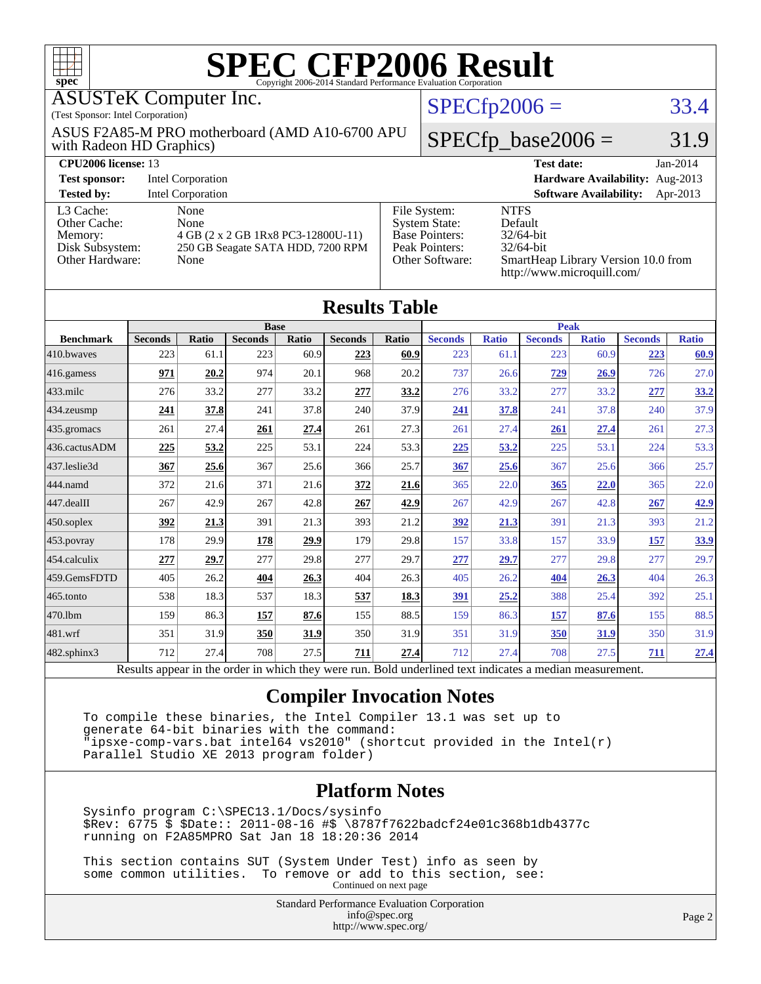| <b>SPEC CFP2006 Result</b><br>Copyright 2006-2014 Standard Performance Evaluation Corporation<br>spec <sup>®</sup> |                                                                                                                                                    |       |                               |       |                |       |                                                                                                                                                                                                                             |                |                               |              |                |              |
|--------------------------------------------------------------------------------------------------------------------|----------------------------------------------------------------------------------------------------------------------------------------------------|-------|-------------------------------|-------|----------------|-------|-----------------------------------------------------------------------------------------------------------------------------------------------------------------------------------------------------------------------------|----------------|-------------------------------|--------------|----------------|--------------|
|                                                                                                                    | <b>ASUSTeK Computer Inc.</b>                                                                                                                       |       |                               |       |                |       |                                                                                                                                                                                                                             | $SPECfp2006 =$ |                               |              |                | 33.4         |
|                                                                                                                    | (Test Sponsor: Intel Corporation)<br>ASUS F2A85-M PRO motherboard (AMD A10-6700 APU<br>with Radeon HD Graphics)                                    |       |                               |       |                |       | $SPECfp\_base2006 =$                                                                                                                                                                                                        |                |                               |              | 31.9           |              |
|                                                                                                                    | CPU <sub>2006</sub> license: 13<br><b>Test date:</b>                                                                                               |       |                               |       |                |       |                                                                                                                                                                                                                             |                |                               | Jan-2014     |                |              |
| <b>Test sponsor:</b>                                                                                               | Hardware Availability: Aug-2013<br><b>Intel Corporation</b>                                                                                        |       |                               |       |                |       |                                                                                                                                                                                                                             |                |                               |              |                |              |
|                                                                                                                    | Intel Corporation<br><b>Software Availability:</b><br><b>Tested by:</b><br>Apr-2013                                                                |       |                               |       |                |       |                                                                                                                                                                                                                             |                |                               |              |                |              |
| Other Cache:<br>Memory:                                                                                            | L3 Cache:<br>None<br>None<br>4 GB (2 x 2 GB 1Rx8 PC3-12800U-11)<br>Disk Subsystem:<br>250 GB Seagate SATA HDD, 7200 RPM<br>Other Hardware:<br>None |       |                               |       |                |       | File System:<br><b>NTFS</b><br>Default<br><b>System State:</b><br><b>Base Pointers:</b><br>32/64-bit<br>Peak Pointers:<br>32/64-bit<br>SmartHeap Library Version 10.0 from<br>Other Software:<br>http://www.microquill.com/ |                |                               |              |                |              |
|                                                                                                                    | <b>Results Table</b>                                                                                                                               |       |                               |       |                |       |                                                                                                                                                                                                                             |                |                               |              |                |              |
| <b>Benchmark</b>                                                                                                   | <b>Seconds</b>                                                                                                                                     | Ratio | <b>Base</b><br><b>Seconds</b> | Ratio | <b>Seconds</b> | Ratio | <b>Seconds</b>                                                                                                                                                                                                              | <b>Ratio</b>   | <b>Peak</b><br><b>Seconds</b> | <b>Ratio</b> | <b>Seconds</b> | <b>Ratio</b> |
| 410.bwayes                                                                                                         | 223                                                                                                                                                | 61.1  | 223                           | 60.9  | 223            | 60.9  | 223                                                                                                                                                                                                                         | 61.1           | 223                           | 60.9         | 223            | 60.9         |
| 416.gamess                                                                                                         | 971                                                                                                                                                | 20.2  | 974                           | 20.1  | 968            | 20.2  | 737                                                                                                                                                                                                                         | 26.6           | 729                           | 26.9         | 726            | 27.0         |
| $433$ .milc                                                                                                        | 276                                                                                                                                                | 33.2  | 277                           | 33.2  | 277            | 33.2  | 276                                                                                                                                                                                                                         | 33.2           | 277                           | 33.2         | 277            | 33.2         |
| 434.zeusmp                                                                                                         | 241                                                                                                                                                | 37.8  | 241                           | 37.8  | 240            | 37.9  | 241                                                                                                                                                                                                                         | 37.8           | 241                           | 37.8         | 240            | 37.9         |
| 435.gromacs                                                                                                        | 261                                                                                                                                                | 27.4  | 261                           | 27.4  | 261            | 27.3  | 261                                                                                                                                                                                                                         | 27.4           | 261                           | 27.4         | 261            | 27.3         |
| 436.cactusADM                                                                                                      | 225                                                                                                                                                | 53.2  | 225                           | 53.1  | 224            | 53.3  | 225                                                                                                                                                                                                                         | 53.2           | 225                           | 53.1         | 224            | 53.3         |
| 437.leslie3d                                                                                                       | 367                                                                                                                                                | 25.6  | 367                           | 25.6  | 366            | 25.7  | 367                                                                                                                                                                                                                         | 25.6           | 367                           | 25.6         | 366            | 25.7         |
| 444.namd                                                                                                           | 372                                                                                                                                                | 21.6  | 371                           | 21.6  | 372            | 21.6  | 365                                                                                                                                                                                                                         | 22.0           | 365                           | 22.0         | 365            | 22.0         |
| 447.dealII                                                                                                         | 267                                                                                                                                                | 42.9  | 267                           | 42.8  | 267            | 42.9  | 267                                                                                                                                                                                                                         | 42.9           | 267                           | 42.8         | 267            | 42.9         |
| 450.soplex                                                                                                         | 392                                                                                                                                                | 21.3  | 391                           | 21.3  | 393            | 21.2  | 392                                                                                                                                                                                                                         | 21.3           | 391                           | 21.3         | 393            | 21.2         |
| 453.povray                                                                                                         | 178                                                                                                                                                | 29.9  | 178                           | 29.9  | 179            | 29.8  | 157                                                                                                                                                                                                                         | 33.8           | 157                           | 33.9         | 157            | 33.9         |
| 454.calculix                                                                                                       | 277                                                                                                                                                | 29.7  | 277                           | 29.8  | 277            | 29.7  | 277                                                                                                                                                                                                                         | 29.7           | 277                           | 29.8         | 277            | 29.7         |
| 459.GemsFDTD                                                                                                       | 405                                                                                                                                                | 26.2  | 404                           | 26.3  | 404            | 26.3  | 405                                                                                                                                                                                                                         | 26.2           | 404                           | 26.3         | 404            | 26.3         |
| 465.tonto                                                                                                          | 538                                                                                                                                                | 18.3  | 537                           | 18.3  | 537            | 18.3  | 391                                                                                                                                                                                                                         | 25.2           | 388                           | 25.4         | 392            | 25.1         |

Results appear in the [order in which they were run.](http://www.spec.org/auto/cpu2006/Docs/result-fields.html#RunOrder) Bold underlined text [indicates a median measurement.](http://www.spec.org/auto/cpu2006/Docs/result-fields.html#Median)

[470.lbm](http://www.spec.org/auto/cpu2006/Docs/470.lbm.html) 159 86.3 **[157](http://www.spec.org/auto/cpu2006/Docs/result-fields.html#Median) [87.6](http://www.spec.org/auto/cpu2006/Docs/result-fields.html#Median)** 155 88.5 159 86.3 **[157](http://www.spec.org/auto/cpu2006/Docs/result-fields.html#Median) [87.6](http://www.spec.org/auto/cpu2006/Docs/result-fields.html#Median)** 155 88.5 [481.wrf](http://www.spec.org/auto/cpu2006/Docs/481.wrf.html) 351 31.9 **[350](http://www.spec.org/auto/cpu2006/Docs/result-fields.html#Median) [31.9](http://www.spec.org/auto/cpu2006/Docs/result-fields.html#Median)** 350 31.9 351 31.9 **[350](http://www.spec.org/auto/cpu2006/Docs/result-fields.html#Median) [31.9](http://www.spec.org/auto/cpu2006/Docs/result-fields.html#Median)** 350 31.9 [482.sphinx3](http://www.spec.org/auto/cpu2006/Docs/482.sphinx3.html) 712 27.4 708 27.5 **[711](http://www.spec.org/auto/cpu2006/Docs/result-fields.html#Median) [27.4](http://www.spec.org/auto/cpu2006/Docs/result-fields.html#Median)** 712 27.4 708 27.5 **[711](http://www.spec.org/auto/cpu2006/Docs/result-fields.html#Median) [27.4](http://www.spec.org/auto/cpu2006/Docs/result-fields.html#Median)**

#### **[Compiler Invocation Notes](http://www.spec.org/auto/cpu2006/Docs/result-fields.html#CompilerInvocationNotes)**

 To compile these binaries, the Intel Compiler 13.1 was set up to generate 64-bit binaries with the command: "ipsxe-comp-vars.bat intel64 vs2010" (shortcut provided in the Intel(r) Parallel Studio XE 2013 program folder)

#### **[Platform Notes](http://www.spec.org/auto/cpu2006/Docs/result-fields.html#PlatformNotes)**

 Sysinfo program C:\SPEC13.1/Docs/sysinfo \$Rev: 6775 \$ \$Date:: 2011-08-16 #\$ \8787f7622badcf24e01c368b1db4377c running on F2A85MPRO Sat Jan 18 18:20:36 2014

 This section contains SUT (System Under Test) info as seen by some common utilities. To remove or add to this section, see: Continued on next page

> Standard Performance Evaluation Corporation [info@spec.org](mailto:info@spec.org) <http://www.spec.org/>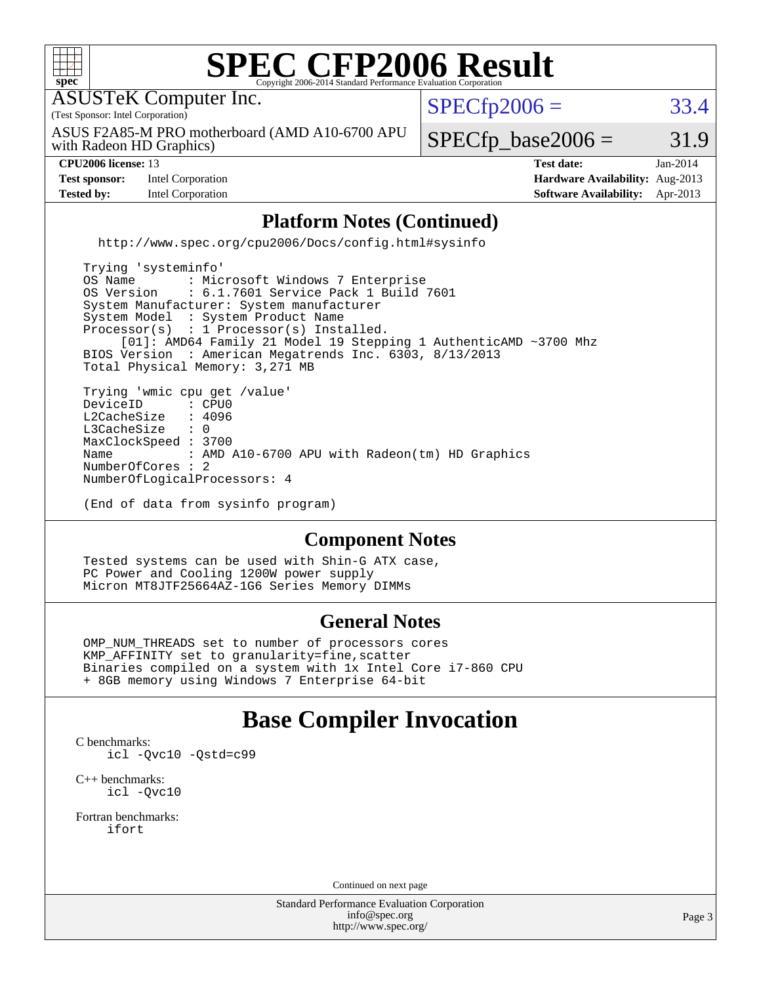

 OMP\_NUM\_THREADS set to number of processors cores KMP\_AFFINITY set to granularity=fine,scatter Binaries compiled on a system with 1x Intel Core i7-860 CPU + 8GB memory using Windows 7 Enterprise 64-bit

#### **[Base Compiler Invocation](http://www.spec.org/auto/cpu2006/Docs/result-fields.html#BaseCompilerInvocation)**

[C benchmarks](http://www.spec.org/auto/cpu2006/Docs/result-fields.html#Cbenchmarks): [icl -Qvc10](http://www.spec.org/cpu2006/results/res2014q3/cpu2006-20140630-30095.flags.html#user_CCbase_intel_icc_vc10_9607f3ecbcdf68042245f068e51b40c1) [-Qstd=c99](http://www.spec.org/cpu2006/results/res2014q3/cpu2006-20140630-30095.flags.html#user_CCbase_intel_compiler_c99_mode_1a3d110e3041b3ad4466830521bdad2a)

[C++ benchmarks:](http://www.spec.org/auto/cpu2006/Docs/result-fields.html#CXXbenchmarks) [icl -Qvc10](http://www.spec.org/cpu2006/results/res2014q3/cpu2006-20140630-30095.flags.html#user_CXXbase_intel_icc_vc10_9607f3ecbcdf68042245f068e51b40c1)

[Fortran benchmarks](http://www.spec.org/auto/cpu2006/Docs/result-fields.html#Fortranbenchmarks): [ifort](http://www.spec.org/cpu2006/results/res2014q3/cpu2006-20140630-30095.flags.html#user_FCbase_intel_ifort_8a5e5e06b19a251bdeaf8fdab5d62f20)

Continued on next page

Standard Performance Evaluation Corporation [info@spec.org](mailto:info@spec.org) <http://www.spec.org/>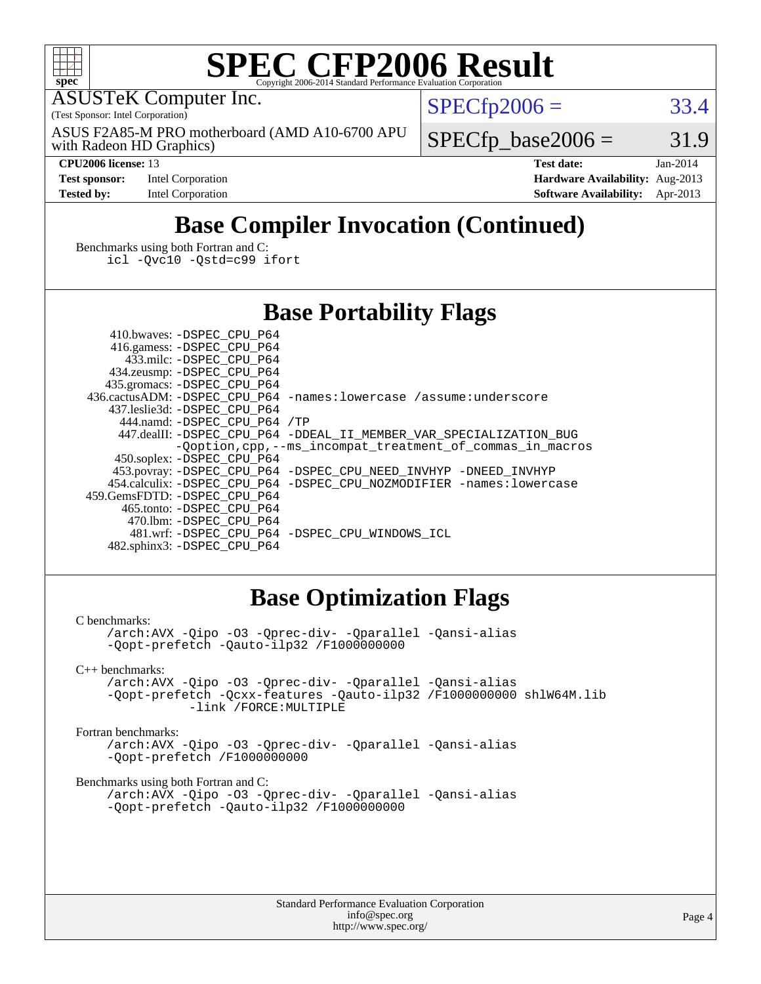

# **[SPEC CFP2006 Result](http://www.spec.org/auto/cpu2006/Docs/result-fields.html#SPECCFP2006Result)**

ASUSTeK Computer Inc.

(Test Sponsor: Intel Corporation)

with Radeon HD Graphics) ASUS F2A85-M PRO motherboard (AMD A10-6700 APU  $SPECTp2006 = 33.4$ 

 $SPECTp\_base2006 = 31.9$ 

**[Test sponsor:](http://www.spec.org/auto/cpu2006/Docs/result-fields.html#Testsponsor)** Intel Corporation **[Hardware Availability:](http://www.spec.org/auto/cpu2006/Docs/result-fields.html#HardwareAvailability)** Aug-2013

**[CPU2006 license:](http://www.spec.org/auto/cpu2006/Docs/result-fields.html#CPU2006license)** 13 **[Test date:](http://www.spec.org/auto/cpu2006/Docs/result-fields.html#Testdate)** Jan-2014 **[Tested by:](http://www.spec.org/auto/cpu2006/Docs/result-fields.html#Testedby)** Intel Corporation **[Software Availability:](http://www.spec.org/auto/cpu2006/Docs/result-fields.html#SoftwareAvailability)** Apr-2013

## **[Base Compiler Invocation \(Continued\)](http://www.spec.org/auto/cpu2006/Docs/result-fields.html#BaseCompilerInvocation)**

[Benchmarks using both Fortran and C](http://www.spec.org/auto/cpu2006/Docs/result-fields.html#BenchmarksusingbothFortranandC): [icl -Qvc10](http://www.spec.org/cpu2006/results/res2014q3/cpu2006-20140630-30095.flags.html#user_CC_FCbase_intel_icc_vc10_9607f3ecbcdf68042245f068e51b40c1) [-Qstd=c99](http://www.spec.org/cpu2006/results/res2014q3/cpu2006-20140630-30095.flags.html#user_CC_FCbase_intel_compiler_c99_mode_1a3d110e3041b3ad4466830521bdad2a) [ifort](http://www.spec.org/cpu2006/results/res2014q3/cpu2006-20140630-30095.flags.html#user_CC_FCbase_intel_ifort_8a5e5e06b19a251bdeaf8fdab5d62f20)

#### **[Base Portability Flags](http://www.spec.org/auto/cpu2006/Docs/result-fields.html#BasePortabilityFlags)**

 410.bwaves: [-DSPEC\\_CPU\\_P64](http://www.spec.org/cpu2006/results/res2014q3/cpu2006-20140630-30095.flags.html#suite_basePORTABILITY410_bwaves_DSPEC_CPU_P64) 416.gamess: [-DSPEC\\_CPU\\_P64](http://www.spec.org/cpu2006/results/res2014q3/cpu2006-20140630-30095.flags.html#suite_basePORTABILITY416_gamess_DSPEC_CPU_P64) 433.milc: [-DSPEC\\_CPU\\_P64](http://www.spec.org/cpu2006/results/res2014q3/cpu2006-20140630-30095.flags.html#suite_basePORTABILITY433_milc_DSPEC_CPU_P64) 434.zeusmp: [-DSPEC\\_CPU\\_P64](http://www.spec.org/cpu2006/results/res2014q3/cpu2006-20140630-30095.flags.html#suite_basePORTABILITY434_zeusmp_DSPEC_CPU_P64) 435.gromacs: [-DSPEC\\_CPU\\_P64](http://www.spec.org/cpu2006/results/res2014q3/cpu2006-20140630-30095.flags.html#suite_basePORTABILITY435_gromacs_DSPEC_CPU_P64) 436.cactusADM: [-DSPEC\\_CPU\\_P64](http://www.spec.org/cpu2006/results/res2014q3/cpu2006-20140630-30095.flags.html#suite_basePORTABILITY436_cactusADM_DSPEC_CPU_P64) [-names:lowercase](http://www.spec.org/cpu2006/results/res2014q3/cpu2006-20140630-30095.flags.html#user_baseFPORTABILITY436_cactusADM_lowercase_routine_name_fa09b8c93d90fdc7bf4c1a91694c3a84) [/assume:underscore](http://www.spec.org/cpu2006/results/res2014q3/cpu2006-20140630-30095.flags.html#user_baseFPORTABILITY436_cactusADM_add-underscore_to_routine_name_0c7c658d9e5eb8b86e282975775768a4) 437.leslie3d: [-DSPEC\\_CPU\\_P64](http://www.spec.org/cpu2006/results/res2014q3/cpu2006-20140630-30095.flags.html#suite_basePORTABILITY437_leslie3d_DSPEC_CPU_P64) 444.namd: [-DSPEC\\_CPU\\_P64](http://www.spec.org/cpu2006/results/res2014q3/cpu2006-20140630-30095.flags.html#suite_basePORTABILITY444_namd_DSPEC_CPU_P64) [/TP](http://www.spec.org/cpu2006/results/res2014q3/cpu2006-20140630-30095.flags.html#user_baseCXXPORTABILITY444_namd_assume_cplusplus_sources_73f79b6e94f79d415caf1b69b30a60d8) 447.dealII: [-DSPEC\\_CPU\\_P64](http://www.spec.org/cpu2006/results/res2014q3/cpu2006-20140630-30095.flags.html#suite_basePORTABILITY447_dealII_DSPEC_CPU_P64) [-DDEAL\\_II\\_MEMBER\\_VAR\\_SPECIALIZATION\\_BUG](http://www.spec.org/cpu2006/results/res2014q3/cpu2006-20140630-30095.flags.html#b447.dealII_baseCXXPORTABILITY_DDEAL_II_MEMBER_VAR_SPECIALIZATION_BUG) [-Qoption,cpp,--ms\\_incompat\\_treatment\\_of\\_commas\\_in\\_macros](http://www.spec.org/cpu2006/results/res2014q3/cpu2006-20140630-30095.flags.html#user_baseCXXPORTABILITY447_dealII_workaround_for_incompat_commas_in_macros_371e7208d1728f07541b35505d65f89c) 450.soplex: [-DSPEC\\_CPU\\_P64](http://www.spec.org/cpu2006/results/res2014q3/cpu2006-20140630-30095.flags.html#suite_basePORTABILITY450_soplex_DSPEC_CPU_P64) 453.povray: [-DSPEC\\_CPU\\_P64](http://www.spec.org/cpu2006/results/res2014q3/cpu2006-20140630-30095.flags.html#suite_basePORTABILITY453_povray_DSPEC_CPU_P64) [-DSPEC\\_CPU\\_NEED\\_INVHYP](http://www.spec.org/cpu2006/results/res2014q3/cpu2006-20140630-30095.flags.html#b453.povray_baseCXXPORTABILITY_DSPEC_CPU_NEED_INVHYP) [-DNEED\\_INVHYP](http://www.spec.org/cpu2006/results/res2014q3/cpu2006-20140630-30095.flags.html#b453.povray_baseCXXPORTABILITY_DNEED_INVHYP) 454.calculix: [-DSPEC\\_CPU\\_P64](http://www.spec.org/cpu2006/results/res2014q3/cpu2006-20140630-30095.flags.html#suite_basePORTABILITY454_calculix_DSPEC_CPU_P64) [-DSPEC\\_CPU\\_NOZMODIFIER](http://www.spec.org/cpu2006/results/res2014q3/cpu2006-20140630-30095.flags.html#b454.calculix_baseCPORTABILITY_DSPEC_CPU_NOZMODIFIER) [-names:lowercase](http://www.spec.org/cpu2006/results/res2014q3/cpu2006-20140630-30095.flags.html#user_baseFPORTABILITY454_calculix_lowercase_routine_name_fa09b8c93d90fdc7bf4c1a91694c3a84) 459.GemsFDTD: [-DSPEC\\_CPU\\_P64](http://www.spec.org/cpu2006/results/res2014q3/cpu2006-20140630-30095.flags.html#suite_basePORTABILITY459_GemsFDTD_DSPEC_CPU_P64) 465.tonto: [-DSPEC\\_CPU\\_P64](http://www.spec.org/cpu2006/results/res2014q3/cpu2006-20140630-30095.flags.html#suite_basePORTABILITY465_tonto_DSPEC_CPU_P64) 470.lbm: [-DSPEC\\_CPU\\_P64](http://www.spec.org/cpu2006/results/res2014q3/cpu2006-20140630-30095.flags.html#suite_basePORTABILITY470_lbm_DSPEC_CPU_P64) 481.wrf: [-DSPEC\\_CPU\\_P64](http://www.spec.org/cpu2006/results/res2014q3/cpu2006-20140630-30095.flags.html#suite_basePORTABILITY481_wrf_DSPEC_CPU_P64) [-DSPEC\\_CPU\\_WINDOWS\\_ICL](http://www.spec.org/cpu2006/results/res2014q3/cpu2006-20140630-30095.flags.html#b481.wrf_baseCPORTABILITY_DSPEC_CPU_WINDOWS_ICL) 482.sphinx3: [-DSPEC\\_CPU\\_P64](http://www.spec.org/cpu2006/results/res2014q3/cpu2006-20140630-30095.flags.html#suite_basePORTABILITY482_sphinx3_DSPEC_CPU_P64)

#### **[Base Optimization Flags](http://www.spec.org/auto/cpu2006/Docs/result-fields.html#BaseOptimizationFlags)**

[C benchmarks](http://www.spec.org/auto/cpu2006/Docs/result-fields.html#Cbenchmarks):

[/arch:AVX](http://www.spec.org/cpu2006/results/res2014q3/cpu2006-20140630-30095.flags.html#user_CCbase_f-archAVX_e8ab52e15dc7c67e0682fc680b79ed94) [-Qipo](http://www.spec.org/cpu2006/results/res2014q3/cpu2006-20140630-30095.flags.html#user_CCbase_f-Qipo) [-O3](http://www.spec.org/cpu2006/results/res2014q3/cpu2006-20140630-30095.flags.html#user_CCbase_f-O3) [-Qprec-div-](http://www.spec.org/cpu2006/results/res2014q3/cpu2006-20140630-30095.flags.html#user_CCbase_f-Qprec-div-) [-Qparallel](http://www.spec.org/cpu2006/results/res2014q3/cpu2006-20140630-30095.flags.html#user_CCbase_f-Qparallel) [-Qansi-alias](http://www.spec.org/cpu2006/results/res2014q3/cpu2006-20140630-30095.flags.html#user_CCbase_f-Qansi-alias) [-Qopt-prefetch](http://www.spec.org/cpu2006/results/res2014q3/cpu2006-20140630-30095.flags.html#user_CCbase_f-Qprefetch_37c211608666b9dff9380561f602f0a8) [-Qauto-ilp32](http://www.spec.org/cpu2006/results/res2014q3/cpu2006-20140630-30095.flags.html#user_CCbase_f-Qauto-ilp32) [/F1000000000](http://www.spec.org/cpu2006/results/res2014q3/cpu2006-20140630-30095.flags.html#user_CCbase_set_stack_space_25d7749c1988d91b7f93afbc0ec53727)

[C++ benchmarks:](http://www.spec.org/auto/cpu2006/Docs/result-fields.html#CXXbenchmarks)

[/arch:AVX](http://www.spec.org/cpu2006/results/res2014q3/cpu2006-20140630-30095.flags.html#user_CXXbase_f-archAVX_e8ab52e15dc7c67e0682fc680b79ed94) [-Qipo](http://www.spec.org/cpu2006/results/res2014q3/cpu2006-20140630-30095.flags.html#user_CXXbase_f-Qipo) [-O3](http://www.spec.org/cpu2006/results/res2014q3/cpu2006-20140630-30095.flags.html#user_CXXbase_f-O3) [-Qprec-div-](http://www.spec.org/cpu2006/results/res2014q3/cpu2006-20140630-30095.flags.html#user_CXXbase_f-Qprec-div-) [-Qparallel](http://www.spec.org/cpu2006/results/res2014q3/cpu2006-20140630-30095.flags.html#user_CXXbase_f-Qparallel) [-Qansi-alias](http://www.spec.org/cpu2006/results/res2014q3/cpu2006-20140630-30095.flags.html#user_CXXbase_f-Qansi-alias) [-Qopt-prefetch](http://www.spec.org/cpu2006/results/res2014q3/cpu2006-20140630-30095.flags.html#user_CXXbase_f-Qprefetch_37c211608666b9dff9380561f602f0a8) [-Qcxx-features](http://www.spec.org/cpu2006/results/res2014q3/cpu2006-20140630-30095.flags.html#user_CXXbase_f-Qcxx_features_dbf36c8a6dba956e22f1645e4dcd4d98) [-Qauto-ilp32](http://www.spec.org/cpu2006/results/res2014q3/cpu2006-20140630-30095.flags.html#user_CXXbase_f-Qauto-ilp32) [/F1000000000](http://www.spec.org/cpu2006/results/res2014q3/cpu2006-20140630-30095.flags.html#user_CXXbase_set_stack_space_25d7749c1988d91b7f93afbc0ec53727) [shlW64M.lib](http://www.spec.org/cpu2006/results/res2014q3/cpu2006-20140630-30095.flags.html#user_CXXbase_SmartHeap64_c4f7f76711bdf8c0633a5c1edf6e5396)  [-link /FORCE:MULTIPLE](http://www.spec.org/cpu2006/results/res2014q3/cpu2006-20140630-30095.flags.html#user_CXXbase_link_force_multiple2_070fe330869edf77077b841074b8b0b6)

[Fortran benchmarks](http://www.spec.org/auto/cpu2006/Docs/result-fields.html#Fortranbenchmarks):

[/arch:AVX](http://www.spec.org/cpu2006/results/res2014q3/cpu2006-20140630-30095.flags.html#user_FCbase_f-archAVX_e8ab52e15dc7c67e0682fc680b79ed94) [-Qipo](http://www.spec.org/cpu2006/results/res2014q3/cpu2006-20140630-30095.flags.html#user_FCbase_f-Qipo) [-O3](http://www.spec.org/cpu2006/results/res2014q3/cpu2006-20140630-30095.flags.html#user_FCbase_f-O3) [-Qprec-div-](http://www.spec.org/cpu2006/results/res2014q3/cpu2006-20140630-30095.flags.html#user_FCbase_f-Qprec-div-) [-Qparallel](http://www.spec.org/cpu2006/results/res2014q3/cpu2006-20140630-30095.flags.html#user_FCbase_f-Qparallel) [-Qansi-alias](http://www.spec.org/cpu2006/results/res2014q3/cpu2006-20140630-30095.flags.html#user_FCbase_f-Qansi-alias) [-Qopt-prefetch](http://www.spec.org/cpu2006/results/res2014q3/cpu2006-20140630-30095.flags.html#user_FCbase_f-Qprefetch_37c211608666b9dff9380561f602f0a8) [/F1000000000](http://www.spec.org/cpu2006/results/res2014q3/cpu2006-20140630-30095.flags.html#user_FCbase_set_stack_space_25d7749c1988d91b7f93afbc0ec53727)

[Benchmarks using both Fortran and C](http://www.spec.org/auto/cpu2006/Docs/result-fields.html#BenchmarksusingbothFortranandC):

[/arch:AVX](http://www.spec.org/cpu2006/results/res2014q3/cpu2006-20140630-30095.flags.html#user_CC_FCbase_f-archAVX_e8ab52e15dc7c67e0682fc680b79ed94) [-Qipo](http://www.spec.org/cpu2006/results/res2014q3/cpu2006-20140630-30095.flags.html#user_CC_FCbase_f-Qipo) [-O3](http://www.spec.org/cpu2006/results/res2014q3/cpu2006-20140630-30095.flags.html#user_CC_FCbase_f-O3) [-Qprec-div-](http://www.spec.org/cpu2006/results/res2014q3/cpu2006-20140630-30095.flags.html#user_CC_FCbase_f-Qprec-div-) [-Qparallel](http://www.spec.org/cpu2006/results/res2014q3/cpu2006-20140630-30095.flags.html#user_CC_FCbase_f-Qparallel) [-Qansi-alias](http://www.spec.org/cpu2006/results/res2014q3/cpu2006-20140630-30095.flags.html#user_CC_FCbase_f-Qansi-alias) [-Qopt-prefetch](http://www.spec.org/cpu2006/results/res2014q3/cpu2006-20140630-30095.flags.html#user_CC_FCbase_f-Qprefetch_37c211608666b9dff9380561f602f0a8) [-Qauto-ilp32](http://www.spec.org/cpu2006/results/res2014q3/cpu2006-20140630-30095.flags.html#user_CC_FCbase_f-Qauto-ilp32) [/F1000000000](http://www.spec.org/cpu2006/results/res2014q3/cpu2006-20140630-30095.flags.html#user_CC_FCbase_set_stack_space_25d7749c1988d91b7f93afbc0ec53727)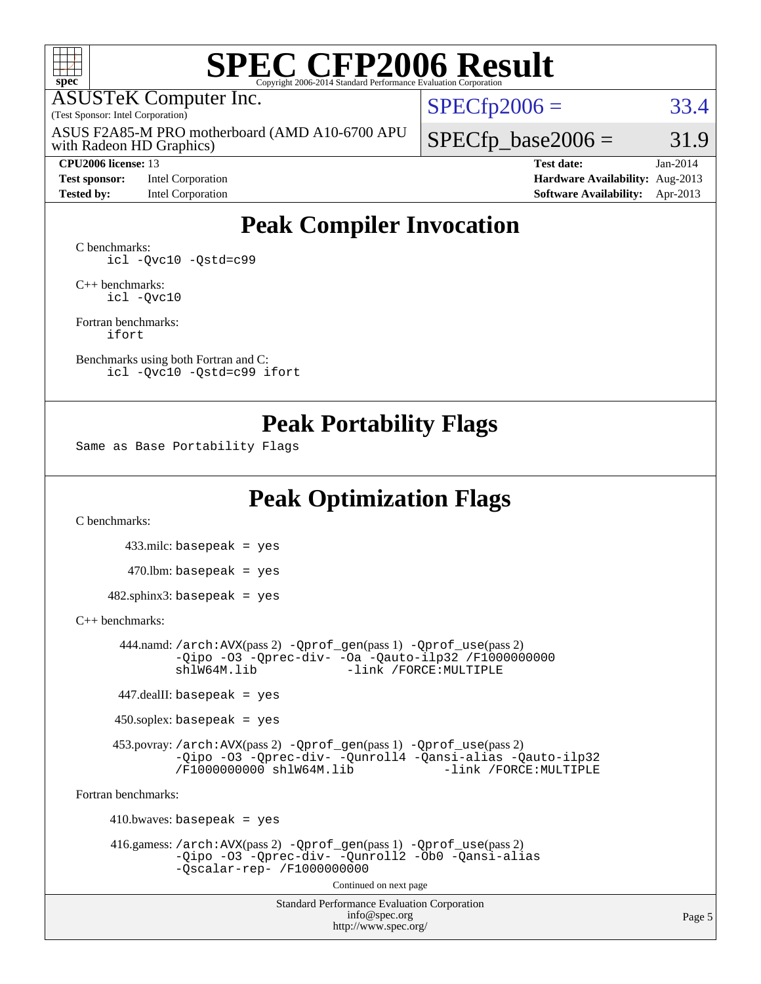

# **[SPEC CFP2006 Result](http://www.spec.org/auto/cpu2006/Docs/result-fields.html#SPECCFP2006Result)**

ASUSTeK Computer Inc.

(Test Sponsor: Intel Corporation)

with Radeon HD Graphics) ASUS F2A85-M PRO motherboard (AMD A10-6700 APU

**[Test sponsor:](http://www.spec.org/auto/cpu2006/Docs/result-fields.html#Testsponsor)** Intel Corporation **[Hardware Availability:](http://www.spec.org/auto/cpu2006/Docs/result-fields.html#HardwareAvailability)** Aug-2013

 $SPECTp2006 = 33.4$ 

 $SPECTp\_base2006 = 31.9$ 

**[CPU2006 license:](http://www.spec.org/auto/cpu2006/Docs/result-fields.html#CPU2006license)** 13 **[Test date:](http://www.spec.org/auto/cpu2006/Docs/result-fields.html#Testdate)** Jan-2014 **[Tested by:](http://www.spec.org/auto/cpu2006/Docs/result-fields.html#Testedby)** Intel Corporation **[Software Availability:](http://www.spec.org/auto/cpu2006/Docs/result-fields.html#SoftwareAvailability)** Apr-2013

### **[Peak Compiler Invocation](http://www.spec.org/auto/cpu2006/Docs/result-fields.html#PeakCompilerInvocation)**

[C benchmarks](http://www.spec.org/auto/cpu2006/Docs/result-fields.html#Cbenchmarks): [icl -Qvc10](http://www.spec.org/cpu2006/results/res2014q3/cpu2006-20140630-30095.flags.html#user_CCpeak_intel_icc_vc10_9607f3ecbcdf68042245f068e51b40c1) [-Qstd=c99](http://www.spec.org/cpu2006/results/res2014q3/cpu2006-20140630-30095.flags.html#user_CCpeak_intel_compiler_c99_mode_1a3d110e3041b3ad4466830521bdad2a)

[C++ benchmarks:](http://www.spec.org/auto/cpu2006/Docs/result-fields.html#CXXbenchmarks) [icl -Qvc10](http://www.spec.org/cpu2006/results/res2014q3/cpu2006-20140630-30095.flags.html#user_CXXpeak_intel_icc_vc10_9607f3ecbcdf68042245f068e51b40c1)

[Fortran benchmarks](http://www.spec.org/auto/cpu2006/Docs/result-fields.html#Fortranbenchmarks): [ifort](http://www.spec.org/cpu2006/results/res2014q3/cpu2006-20140630-30095.flags.html#user_FCpeak_intel_ifort_8a5e5e06b19a251bdeaf8fdab5d62f20)

[Benchmarks using both Fortran and C](http://www.spec.org/auto/cpu2006/Docs/result-fields.html#BenchmarksusingbothFortranandC): [icl -Qvc10](http://www.spec.org/cpu2006/results/res2014q3/cpu2006-20140630-30095.flags.html#user_CC_FCpeak_intel_icc_vc10_9607f3ecbcdf68042245f068e51b40c1) [-Qstd=c99](http://www.spec.org/cpu2006/results/res2014q3/cpu2006-20140630-30095.flags.html#user_CC_FCpeak_intel_compiler_c99_mode_1a3d110e3041b3ad4466830521bdad2a) [ifort](http://www.spec.org/cpu2006/results/res2014q3/cpu2006-20140630-30095.flags.html#user_CC_FCpeak_intel_ifort_8a5e5e06b19a251bdeaf8fdab5d62f20)

#### **[Peak Portability Flags](http://www.spec.org/auto/cpu2006/Docs/result-fields.html#PeakPortabilityFlags)**

Same as Base Portability Flags

### **[Peak Optimization Flags](http://www.spec.org/auto/cpu2006/Docs/result-fields.html#PeakOptimizationFlags)**

[C benchmarks](http://www.spec.org/auto/cpu2006/Docs/result-fields.html#Cbenchmarks):

 433.milc: basepeak = yes  $470$ .lbm: basepeak = yes  $482$ .sphinx3: basepeak = yes

#### [C++ benchmarks:](http://www.spec.org/auto/cpu2006/Docs/result-fields.html#CXXbenchmarks)

 444.namd: [/arch:AVX](http://www.spec.org/cpu2006/results/res2014q3/cpu2006-20140630-30095.flags.html#user_peakPASS2_CXXFLAGSPASS2_LDFLAGS444_namd_f-archAVX_e8ab52e15dc7c67e0682fc680b79ed94)(pass 2) [-Qprof\\_gen](http://www.spec.org/cpu2006/results/res2014q3/cpu2006-20140630-30095.flags.html#user_peakPASS1_CXXFLAGSPASS1_LDFLAGS444_namd_Qprof_gen)(pass 1) [-Qprof\\_use](http://www.spec.org/cpu2006/results/res2014q3/cpu2006-20140630-30095.flags.html#user_peakPASS2_CXXFLAGSPASS2_LDFLAGS444_namd_Qprof_use)(pass 2) [-Qipo](http://www.spec.org/cpu2006/results/res2014q3/cpu2006-20140630-30095.flags.html#user_peakOPTIMIZE444_namd_f-Qipo) [-O3](http://www.spec.org/cpu2006/results/res2014q3/cpu2006-20140630-30095.flags.html#user_peakOPTIMIZE444_namd_f-O3) [-Qprec-div-](http://www.spec.org/cpu2006/results/res2014q3/cpu2006-20140630-30095.flags.html#user_peakOPTIMIZE444_namd_f-Qprec-div-) [-Oa](http://www.spec.org/cpu2006/results/res2014q3/cpu2006-20140630-30095.flags.html#user_peakOPTIMIZE444_namd_f-Oa) [-Qauto-ilp32](http://www.spec.org/cpu2006/results/res2014q3/cpu2006-20140630-30095.flags.html#user_peakCXXOPTIMIZE444_namd_f-Qauto-ilp32) [/F1000000000](http://www.spec.org/cpu2006/results/res2014q3/cpu2006-20140630-30095.flags.html#user_peakEXTRA_LDFLAGS444_namd_set_stack_space_25d7749c1988d91b7f93afbc0ec53727) -link /FORCE: MULTIPLE

447.dealII: basepeak = yes

 $450$ .soplex: basepeak = yes

 453.povray: [/arch:AVX](http://www.spec.org/cpu2006/results/res2014q3/cpu2006-20140630-30095.flags.html#user_peakPASS2_CXXFLAGSPASS2_LDFLAGS453_povray_f-archAVX_e8ab52e15dc7c67e0682fc680b79ed94)(pass 2) [-Qprof\\_gen](http://www.spec.org/cpu2006/results/res2014q3/cpu2006-20140630-30095.flags.html#user_peakPASS1_CXXFLAGSPASS1_LDFLAGS453_povray_Qprof_gen)(pass 1) [-Qprof\\_use](http://www.spec.org/cpu2006/results/res2014q3/cpu2006-20140630-30095.flags.html#user_peakPASS2_CXXFLAGSPASS2_LDFLAGS453_povray_Qprof_use)(pass 2) [-Qipo](http://www.spec.org/cpu2006/results/res2014q3/cpu2006-20140630-30095.flags.html#user_peakOPTIMIZE453_povray_f-Qipo) [-O3](http://www.spec.org/cpu2006/results/res2014q3/cpu2006-20140630-30095.flags.html#user_peakOPTIMIZE453_povray_f-O3) [-Qprec-div-](http://www.spec.org/cpu2006/results/res2014q3/cpu2006-20140630-30095.flags.html#user_peakOPTIMIZE453_povray_f-Qprec-div-) [-Qunroll4](http://www.spec.org/cpu2006/results/res2014q3/cpu2006-20140630-30095.flags.html#user_peakOPTIMIZE453_povray_f-Qunroll_013b1c0ea3aa84ef2c65e488bcc3d968) [-Qansi-alias](http://www.spec.org/cpu2006/results/res2014q3/cpu2006-20140630-30095.flags.html#user_peakOPTIMIZE453_povray_f-Qansi-alias) [-Qauto-ilp32](http://www.spec.org/cpu2006/results/res2014q3/cpu2006-20140630-30095.flags.html#user_peakCXXOPTIMIZE453_povray_f-Qauto-ilp32) [/F1000000000](http://www.spec.org/cpu2006/results/res2014q3/cpu2006-20140630-30095.flags.html#user_peakEXTRA_LDFLAGS453_povray_set_stack_space_25d7749c1988d91b7f93afbc0ec53727) [shlW64M.lib](http://www.spec.org/cpu2006/results/res2014q3/cpu2006-20140630-30095.flags.html#user_peakEXTRA_LIBS453_povray_SmartHeap64_c4f7f76711bdf8c0633a5c1edf6e5396)

[Fortran benchmarks](http://www.spec.org/auto/cpu2006/Docs/result-fields.html#Fortranbenchmarks):

 $410.bwaves: basepeak = yes$  416.gamess: [/arch:AVX](http://www.spec.org/cpu2006/results/res2014q3/cpu2006-20140630-30095.flags.html#user_peakPASS2_FFLAGSPASS2_LDFLAGS416_gamess_f-archAVX_e8ab52e15dc7c67e0682fc680b79ed94)(pass 2) [-Qprof\\_gen](http://www.spec.org/cpu2006/results/res2014q3/cpu2006-20140630-30095.flags.html#user_peakPASS1_FFLAGSPASS1_LDFLAGS416_gamess_Qprof_gen)(pass 1) [-Qprof\\_use](http://www.spec.org/cpu2006/results/res2014q3/cpu2006-20140630-30095.flags.html#user_peakPASS2_FFLAGSPASS2_LDFLAGS416_gamess_Qprof_use)(pass 2) [-Qipo](http://www.spec.org/cpu2006/results/res2014q3/cpu2006-20140630-30095.flags.html#user_peakOPTIMIZE416_gamess_f-Qipo) [-O3](http://www.spec.org/cpu2006/results/res2014q3/cpu2006-20140630-30095.flags.html#user_peakOPTIMIZE416_gamess_f-O3) [-Qprec-div-](http://www.spec.org/cpu2006/results/res2014q3/cpu2006-20140630-30095.flags.html#user_peakOPTIMIZE416_gamess_f-Qprec-div-) [-Qunroll2](http://www.spec.org/cpu2006/results/res2014q3/cpu2006-20140630-30095.flags.html#user_peakOPTIMIZE416_gamess_f-Qunroll_1d9456aa650e77fc2a0cf43cef3fa08c) [-Ob0](http://www.spec.org/cpu2006/results/res2014q3/cpu2006-20140630-30095.flags.html#user_peakOPTIMIZE416_gamess_f-Ob_n_fbe6f6428adb7d4b74b1e99bb2444c2d) [-Qansi-alias](http://www.spec.org/cpu2006/results/res2014q3/cpu2006-20140630-30095.flags.html#user_peakOPTIMIZE416_gamess_f-Qansi-alias) [-Qscalar-rep-](http://www.spec.org/cpu2006/results/res2014q3/cpu2006-20140630-30095.flags.html#user_peakOPTIMIZE416_gamess_f-Qscalar-rep_02cb9e11a5340d80ab3062d84e5dfb2e) [/F1000000000](http://www.spec.org/cpu2006/results/res2014q3/cpu2006-20140630-30095.flags.html#user_peakEXTRA_LDFLAGS416_gamess_set_stack_space_25d7749c1988d91b7f93afbc0ec53727) Continued on next page

> Standard Performance Evaluation Corporation [info@spec.org](mailto:info@spec.org) <http://www.spec.org/>